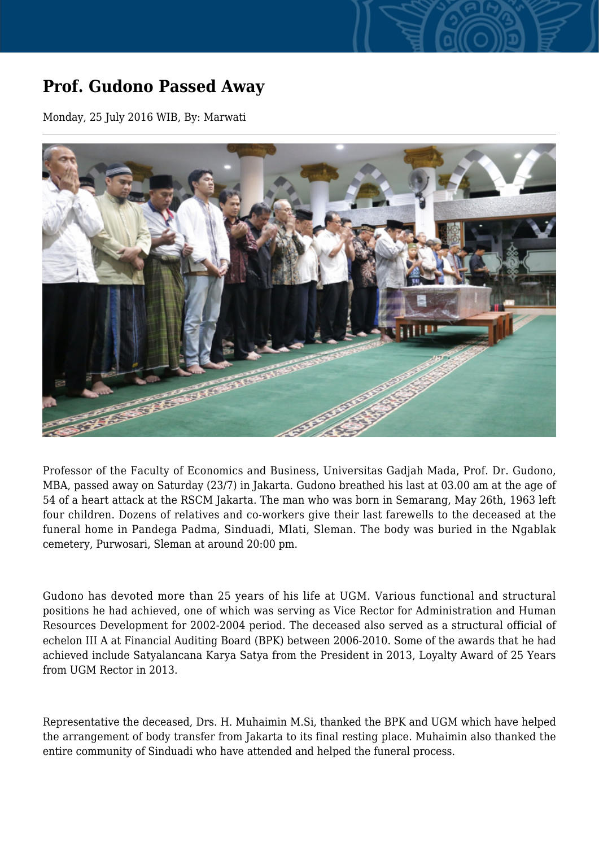## **Prof. Gudono Passed Away**

Monday, 25 July 2016 WIB, By: Marwati



Professor of the Faculty of Economics and Business, Universitas Gadjah Mada, Prof. Dr. Gudono, MBA, passed away on Saturday (23/7) in Jakarta. Gudono breathed his last at 03.00 am at the age of 54 of a heart attack at the RSCM Jakarta. The man who was born in Semarang, May 26th, 1963 left four children. Dozens of relatives and co-workers give their last farewells to the deceased at the funeral home in Pandega Padma, Sinduadi, Mlati, Sleman. The body was buried in the Ngablak cemetery, Purwosari, Sleman at around 20:00 pm.

Gudono has devoted more than 25 years of his life at UGM. Various functional and structural positions he had achieved, one of which was serving as Vice Rector for Administration and Human Resources Development for 2002-2004 period. The deceased also served as a structural official of echelon III A at Financial Auditing Board (BPK) between 2006-2010. Some of the awards that he had achieved include Satyalancana Karya Satya from the President in 2013, Loyalty Award of 25 Years from UGM Rector in 2013.

Representative the deceased, Drs. H. Muhaimin M.Si, thanked the BPK and UGM which have helped the arrangement of body transfer from Jakarta to its final resting place. Muhaimin also thanked the entire community of Sinduadi who have attended and helped the funeral process.